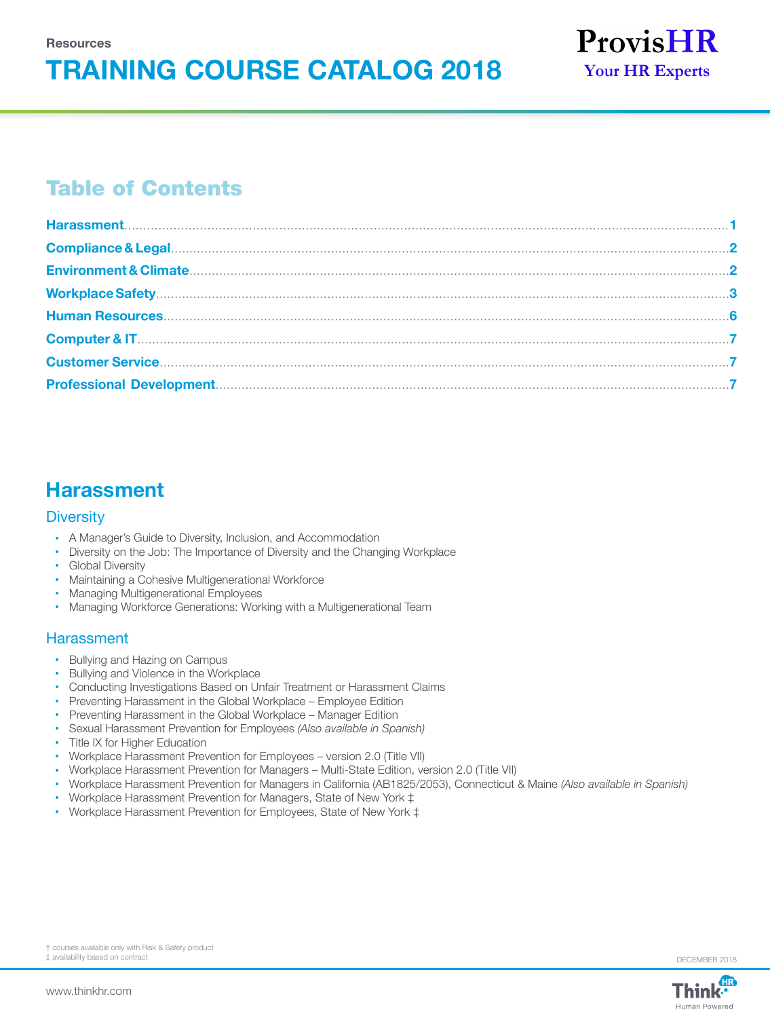# **TRAINING COURSE CATALOG 2018**



# Table of Contents

# **Harassment**

#### **Diversity**

- A Manager's Guide to Diversity, Inclusion, and Accommodation
- Diversity on the Job: The Importance of Diversity and the Changing Workplace
- Global Diversity
- Maintaining a Cohesive Multigenerational Workforce
- Managing Multigenerational Employees
- Managing Workforce Generations: Working with a Multigenerational Team

#### **Harassment**

- Bullying and Hazing on Campus
- Bullying and Violence in the Workplace
- Conducting Investigations Based on Unfair Treatment or Harassment Claims
- Preventing Harassment in the Global Workplace Employee Edition
- Preventing Harassment in the Global Workplace Manager Edition
- Sexual Harassment Prevention for Employees *(Also available in Spanish)*
- Title IX for Higher Education
- Workplace Harassment Prevention for Employees version 2.0 (Title VII)
- Workplace Harassment Prevention for Managers Multi-State Edition, version 2.0 (Title VII)
- Workplace Harassment Prevention for Managers in California (AB1825/2053), Connecticut & Maine *(Also available in Spanish)*
- Workplace Harassment Prevention for Managers, State of New York ‡
- Workplace Harassment Prevention for Employees, State of New York ‡



DECEMBER 2018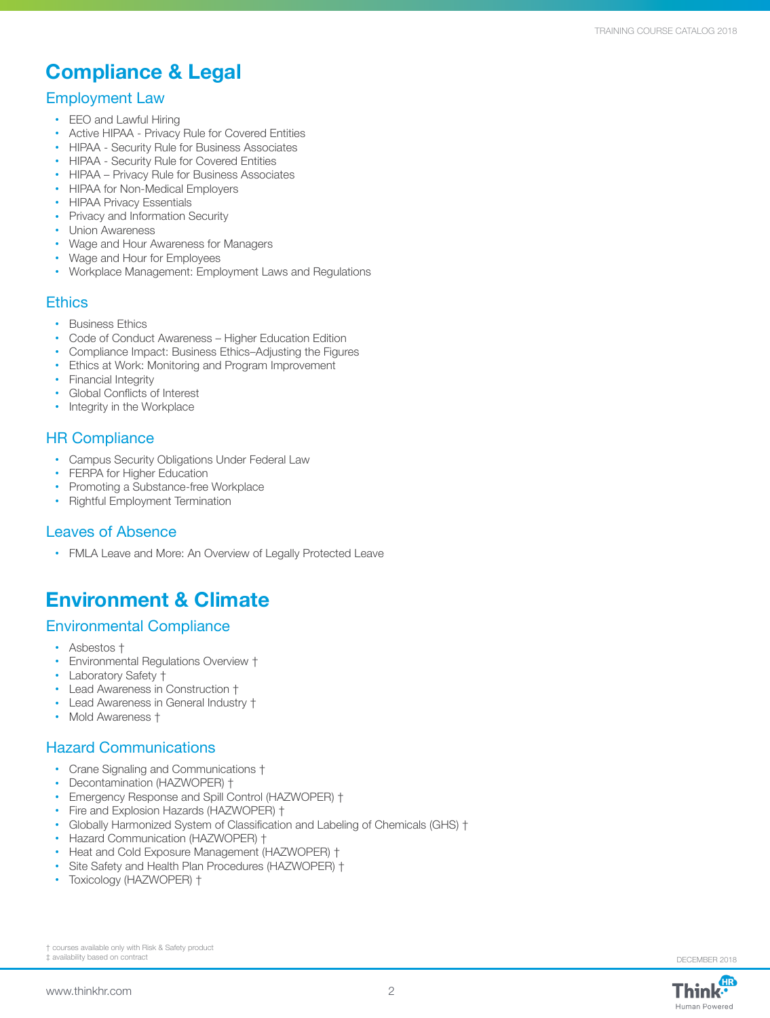# **Compliance & Legal**

#### Employment Law

- EEO and Lawful Hiring
- Active HIPAA Privacy Rule for Covered Entities
- HIPAA Security Rule for Business Associates
- HIPAA Security Rule for Covered Entities
- HIPAA Privacy Rule for Business Associates
- HIPAA for Non-Medical Employers
- HIPAA Privacy Essentials
- Privacy and Information Security
- Union Awareness
- Wage and Hour Awareness for Managers
- Wage and Hour for Employees
- Workplace Management: Employment Laws and Regulations

#### **Ethics**

- Business Ethics
- Code of Conduct Awareness Higher Education Edition
- Compliance Impact: Business Ethics–Adjusting the Figures
- Ethics at Work: Monitoring and Program Improvement
- Financial Integrity
- Global Conflicts of Interest
- Integrity in the Workplace

### HR Compliance

- Campus Security Obligations Under Federal Law
- FERPA for Higher Education
- Promoting a Substance-free Workplace
- Rightful Employment Termination

### Leaves of Absence

• FMLA Leave and More: An Overview of Legally Protected Leave

# **Environment & Climate**

### Environmental Compliance

- Asbestos †
- Environmental Regulations Overview †
- Laboratory Safety †
- Lead Awareness in Construction †
- Lead Awareness in General Industry †
- Mold Awareness †

### Hazard Communications

- Crane Signaling and Communications †
- Decontamination (HAZWOPER) †
- Emergency Response and Spill Control (HAZWOPER) †
- Fire and Explosion Hazards (HAZWOPER) †
- Globally Harmonized System of Classification and Labeling of Chemicals (GHS) †
- Hazard Communication (HAZWOPER) †
- Heat and Cold Exposure Management (HAZWOPER) †
- Site Safety and Health Plan Procedures (HAZWOPER) †
- Toxicology (HAZWOPER) †

† courses available only with Risk & Safety product ‡ availability based on contract DECEMBER 2018

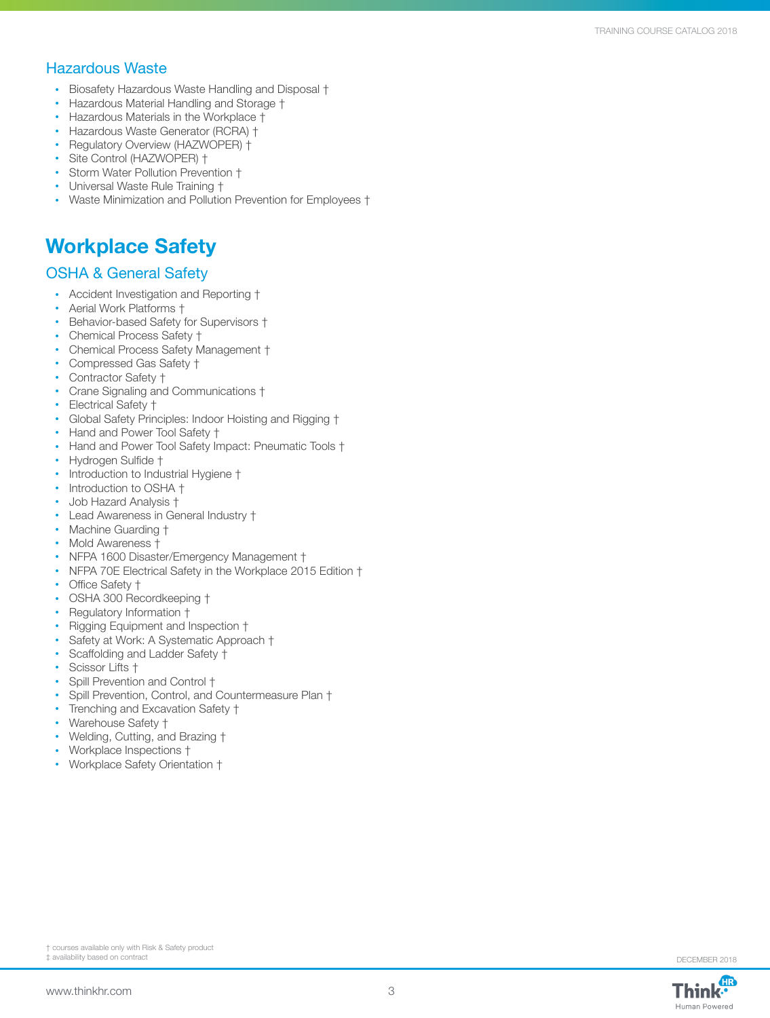### Hazardous Waste

- Biosafety Hazardous Waste Handling and Disposal †
- Hazardous Material Handling and Storage †
- Hazardous Materials in the Workplace †
- Hazardous Waste Generator (RCRA) †
- Regulatory Overview (HAZWOPER) †
- Site Control (HAZWOPER) †
- Storm Water Pollution Prevention †
- Universal Waste Rule Training †
- Waste Minimization and Pollution Prevention for Employees †

# **Workplace Safety**

### OSHA & General Safety

- Accident Investigation and Reporting †
- Aerial Work Platforms †
- Behavior-based Safety for Supervisors †
- Chemical Process Safety †
- Chemical Process Safety Management †
- Compressed Gas Safety †
- Contractor Safety †
- Crane Signaling and Communications †
- Electrical Safety †
- Global Safety Principles: Indoor Hoisting and Rigging †
- Hand and Power Tool Safety  $\dagger$
- Hand and Power Tool Safety Impact: Pneumatic Tools †
- Hydrogen Sulfide †
- Introduction to Industrial Hygiene †
- Introduction to OSHA †
- Job Hazard Analysis †
- Lead Awareness in General Industry †
- Machine Guarding †
- Mold Awareness †
- NFPA 1600 Disaster/Emergency Management †
- NFPA 70E Electrical Safety in the Workplace 2015 Edition †
- Office Safety +
- OSHA 300 Recordkeeping †
- Regulatory Information †
- Rigging Equipment and Inspection †
- Safety at Work: A Systematic Approach †
- Scaffolding and Ladder Safety †
- Scissor Lifts +
- Spill Prevention and Control †
- Spill Prevention, Control, and Countermeasure Plan †
- Trenching and Excavation Safety †
- Warehouse Safety †
- Welding, Cutting, and Brazing †
- Workplace Inspections †
- Workplace Safety Orientation †

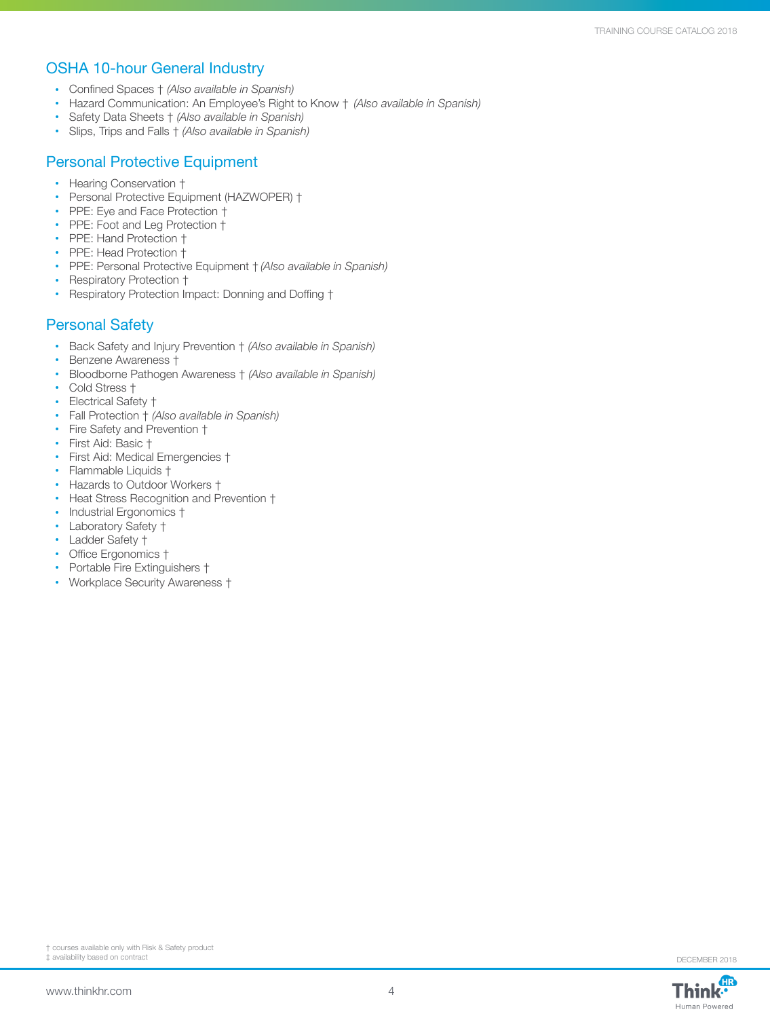### OSHA 10-hour General Industry

- Confined Spaces † *(Also available in Spanish)*
- Hazard Communication: An Employee's Right to Know † *(Also available in Spanish)*
- Safety Data Sheets † *(Also available in Spanish)*
- Slips, Trips and Falls † *(Also available in Spanish)*

### Personal Protective Equipment

- Hearing Conservation †
- Personal Protective Equipment (HAZWOPER) †
- PPE: Eye and Face Protection †
- PPE: Foot and Leg Protection †
- PPE: Hand Protection +
- PPE: Head Protection †
- PPE: Personal Protective Equipment † *(Also available in Spanish)*
- Respiratory Protection †
- Respiratory Protection Impact: Donning and Doffing †

### Personal Safety

- Back Safety and Injury Prevention † *(Also available in Spanish)*
- Benzene Awareness †
- Bloodborne Pathogen Awareness † *(Also available in Spanish)*
- Cold Stress †
- Electrical Safety †
- Fall Protection † *(Also available in Spanish)*
- Fire Safety and Prevention †
- First Aid: Basic †
- First Aid: Medical Emergencies †
- Flammable Liquids †
- Hazards to Outdoor Workers †
- Heat Stress Recognition and Prevention †
- Industrial Ergonomics +
- Laboratory Safety †
- Ladder Safety †
- Office Ergonomics †
- Portable Fire Extinguishers †
- Workplace Security Awareness †





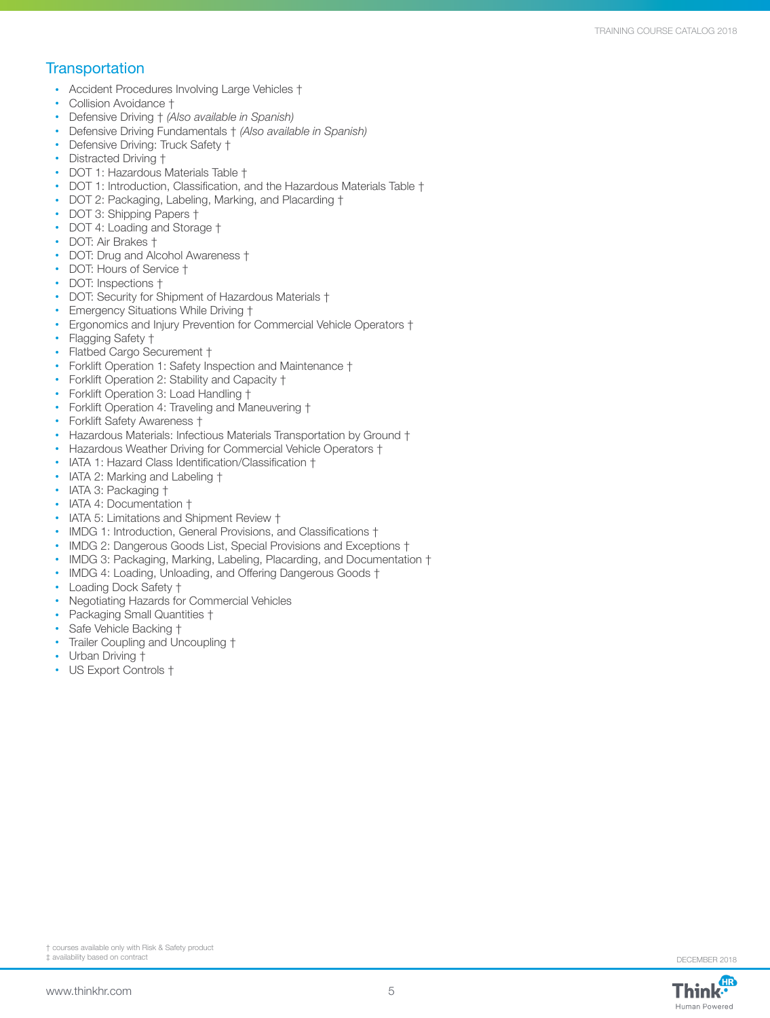#### **Transportation**

- Accident Procedures Involving Large Vehicles †
- Collision Avoidance †
- Defensive Driving † *(Also available in Spanish)*
- Defensive Driving Fundamentals † *(Also available in Spanish)*
- Defensive Driving: Truck Safety †
- Distracted Driving †
- DOT 1: Hazardous Materials Table †
- DOT 1: Introduction, Classification, and the Hazardous Materials Table  $\dagger$
- DOT 2: Packaging, Labeling, Marking, and Placarding †
- DOT 3: Shipping Papers †
- DOT 4: Loading and Storage †
- DOT: Air Brakes †
- DOT: Drug and Alcohol Awareness †
- DOT: Hours of Service †
- DOT: Inspections †
- DOT: Security for Shipment of Hazardous Materials †
- Emergency Situations While Driving †
- Ergonomics and Injury Prevention for Commercial Vehicle Operators †
- Flagging Safety +
- Flatbed Cargo Securement †
- Forklift Operation 1: Safety Inspection and Maintenance †
- Forklift Operation 2: Stability and Capacity †
- Forklift Operation 3: Load Handling †
- Forklift Operation 4: Traveling and Maneuvering †
- Forklift Safety Awareness †
- Hazardous Materials: Infectious Materials Transportation by Ground †
- Hazardous Weather Driving for Commercial Vehicle Operators †
- IATA 1: Hazard Class Identification/Classification †
- IATA 2: Marking and Labeling  $\dagger$
- IATA 3: Packaging †
- IATA 4: Documentation †
- IATA 5: Limitations and Shipment Review  $\dagger$
- IMDG 1: Introduction, General Provisions, and Classifications †
- IMDG 2: Dangerous Goods List, Special Provisions and Exceptions †
- IMDG 3: Packaging, Marking, Labeling, Placarding, and Documentation †
- IMDG 4: Loading, Unloading, and Offering Dangerous Goods  $\dagger$
- Loading Dock Safety †
- Negotiating Hazards for Commercial Vehicles
- Packaging Small Quantities †
- Safe Vehicle Backing †
- Trailer Coupling and Uncoupling †
- Urban Driving  $\dagger$
- US Export Controls †

Human Powered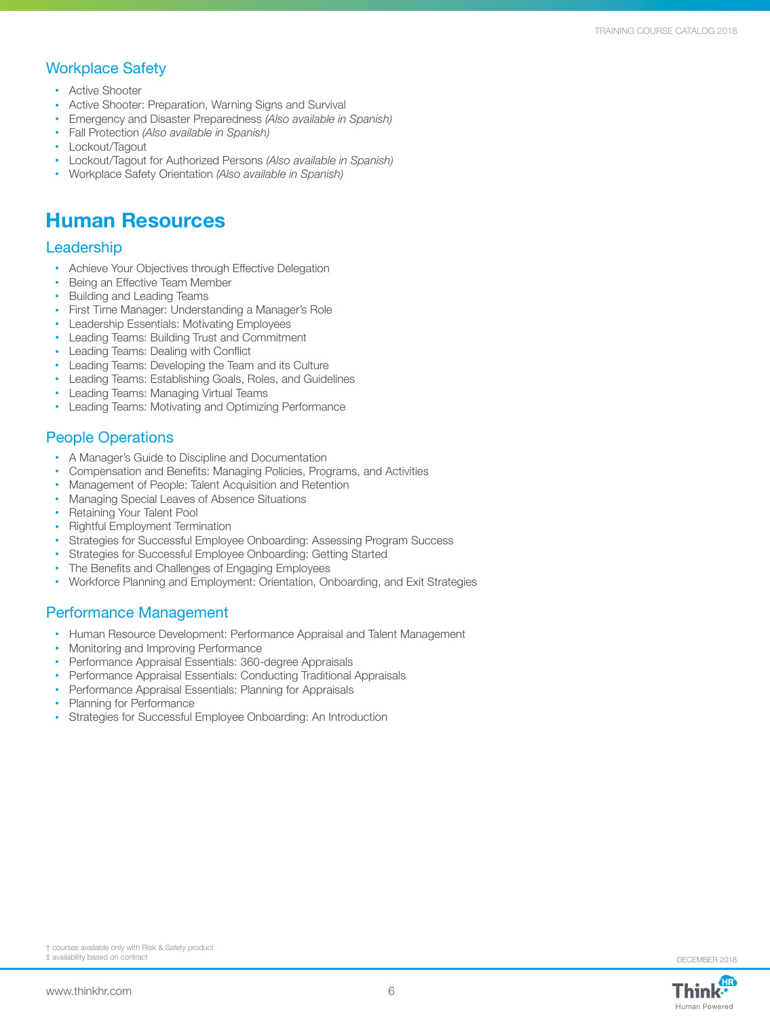### Workplace Safety

- Active Shooter
- Active Shooter: Preparation, Warning Signs and Survival
- Emergency and Disaster Preparedness *(Also available in Spanish)*
- Fall Protection *(Also available in Spanish)*
- Lockout/Tagout
- Lockout/Tagout for Authorized Persons *(Also available in Spanish)*
- Workplace Safety Orientation *(Also available in Spanish)*

# **Human Resources**

#### **Leadership**

- Achieve Your Objectives through Effective Delegation
- Being an Effective Team Member
- Building and Leading Teams
- First Time Manager: Understanding a Manager's Role
- Leadership Essentials: Motivating Employees
- Leading Teams: Building Trust and Commitment
- Leading Teams: Dealing with Conflict
- Leading Teams: Developing the Team and its Culture
- Leading Teams: Establishing Goals, Roles, and Guidelines
- Leading Teams: Managing Virtual Teams
- Leading Teams: Motivating and Optimizing Performance

### People Operations

- A Manager's Guide to Discipline and Documentation
- Compensation and Benefits: Managing Policies, Programs, and Activities
- Management of People: Talent Acquisition and Retention
- Managing Special Leaves of Absence Situations
- Retaining Your Talent Pool
- Rightful Employment Termination
- Strategies for Successful Employee Onboarding: Assessing Program Success
- Strategies for Successful Employee Onboarding: Getting Started
- The Benefits and Challenges of Engaging Employees
- Workforce Planning and Employment: Orientation, Onboarding, and Exit Strategies

#### Performance Management

- Human Resource Development: Performance Appraisal and Talent Management
- Monitoring and Improving Performance
- Performance Appraisal Essentials: 360-degree Appraisals
- Performance Appraisal Essentials: Conducting Traditional Appraisals
- Performance Appraisal Essentials: Planning for Appraisals
- Planning for Performance
- Strategies for Successful Employee Onboarding: An Introduction

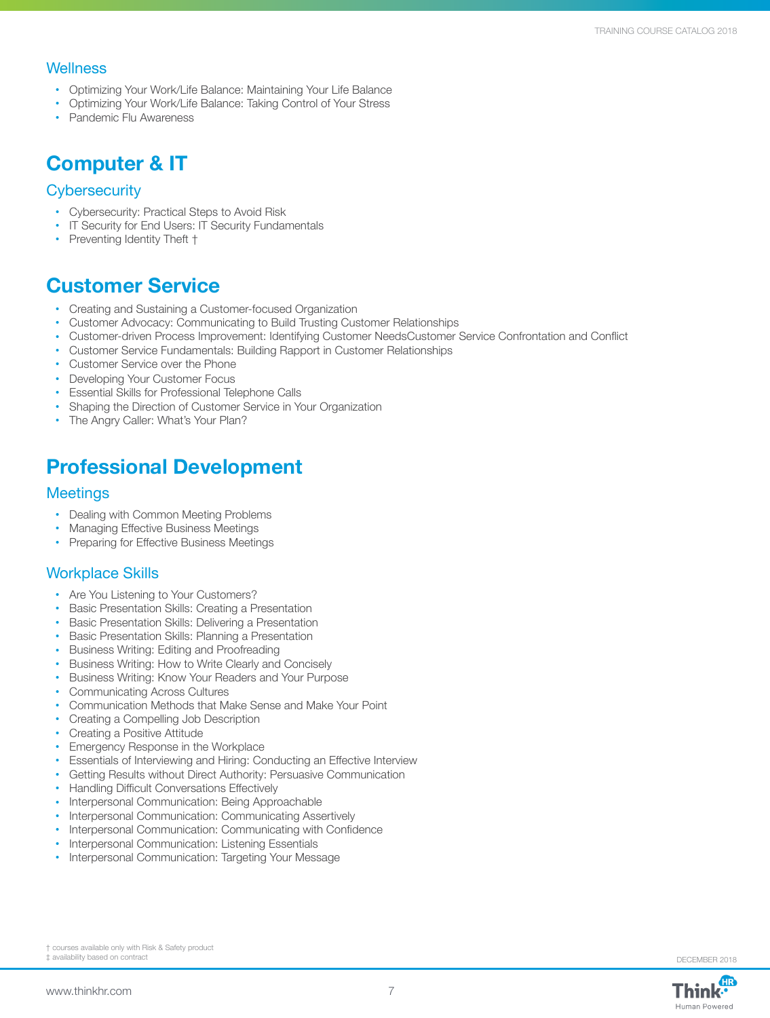#### **Wellness**

- Optimizing Your Work/Life Balance: Maintaining Your Life Balance
- Optimizing Your Work/Life Balance: Taking Control of Your Stress
- Pandemic Flu Awareness

# **Computer & IT**

#### **Cybersecurity**

- Cybersecurity: Practical Steps to Avoid Risk
- IT Security for End Users: IT Security Fundamentals
- Preventing Identity Theft +

## **Customer Service**

- Creating and Sustaining a Customer-focused Organization
- Customer Advocacy: Communicating to Build Trusting Customer Relationships
- Customer-driven Process Improvement: Identifying Customer NeedsCustomer Service Confrontation and Conflict
- Customer Service Fundamentals: Building Rapport in Customer Relationships
- Customer Service over the Phone
- Developing Your Customer Focus
- Essential Skills for Professional Telephone Calls
- Shaping the Direction of Customer Service in Your Organization
- The Angry Caller: What's Your Plan?

# **Professional Development**

#### **Meetings**

- Dealing with Common Meeting Problems
- Managing Effective Business Meetings
- Preparing for Effective Business Meetings

#### Workplace Skills

- Are You Listening to Your Customers?
- Basic Presentation Skills: Creating a Presentation
- Basic Presentation Skills: Delivering a Presentation
- Basic Presentation Skills: Planning a Presentation
- Business Writing: Editing and Proofreading
- Business Writing: How to Write Clearly and Concisely
- Business Writing: Know Your Readers and Your Purpose
- Communicating Across Cultures
- Communication Methods that Make Sense and Make Your Point
- Creating a Compelling Job Description
- Creating a Positive Attitude
- Emergency Response in the Workplace
- Essentials of Interviewing and Hiring: Conducting an Effective Interview
- Getting Results without Direct Authority: Persuasive Communication
- Handling Difficult Conversations Effectively
- Interpersonal Communication: Being Approachable
- Interpersonal Communication: Communicating Assertively
- Interpersonal Communication: Communicating with Confidence
- Interpersonal Communication: Listening Essentials
- Interpersonal Communication: Targeting Your Message

† courses available only with Risk & Safety product ‡ availability based on contract DECEMBER 2018